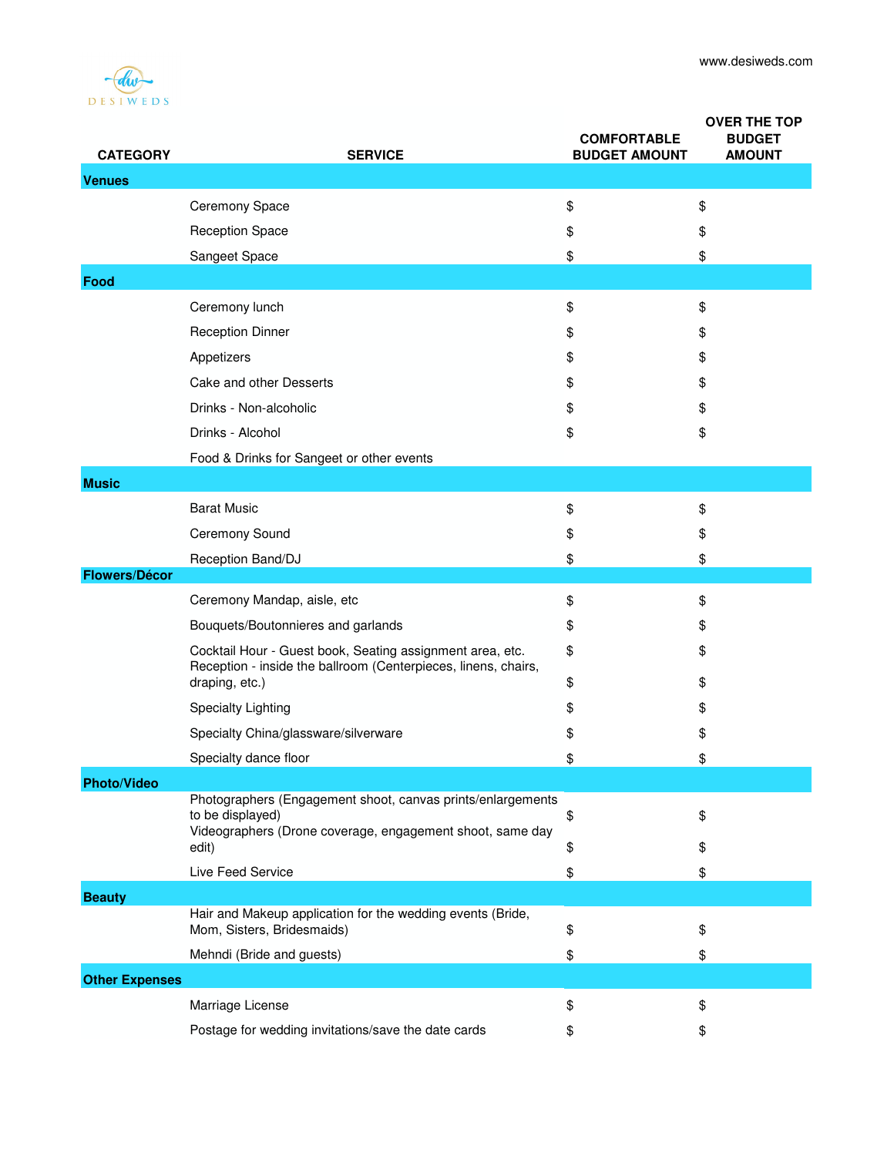

| <b>CATEGORY</b>       | <b>SERVICE</b>                                                                                                                                | <b>COMFORTABLE</b><br><b>BUDGET AMOUNT</b> | <b>OVER THE TOP</b><br><b>BUDGET</b><br><b>AMOUNT</b> |
|-----------------------|-----------------------------------------------------------------------------------------------------------------------------------------------|--------------------------------------------|-------------------------------------------------------|
| <b>Venues</b>         |                                                                                                                                               |                                            |                                                       |
|                       | Ceremony Space                                                                                                                                | \$                                         | \$                                                    |
|                       | <b>Reception Space</b>                                                                                                                        | \$                                         | \$                                                    |
|                       | Sangeet Space                                                                                                                                 | \$                                         | \$                                                    |
| Food                  |                                                                                                                                               |                                            |                                                       |
|                       | Ceremony lunch                                                                                                                                | \$                                         | \$                                                    |
|                       | <b>Reception Dinner</b>                                                                                                                       | \$                                         | \$                                                    |
|                       | Appetizers                                                                                                                                    | \$                                         | \$                                                    |
|                       | Cake and other Desserts                                                                                                                       | \$                                         | \$                                                    |
|                       | Drinks - Non-alcoholic                                                                                                                        | \$                                         | \$                                                    |
|                       | Drinks - Alcohol                                                                                                                              | \$                                         | \$                                                    |
|                       | Food & Drinks for Sangeet or other events                                                                                                     |                                            |                                                       |
| <b>Music</b>          |                                                                                                                                               |                                            |                                                       |
|                       | <b>Barat Music</b>                                                                                                                            | \$                                         | \$                                                    |
|                       | Ceremony Sound                                                                                                                                | \$                                         | \$                                                    |
|                       | Reception Band/DJ                                                                                                                             | \$                                         | \$                                                    |
| <b>Flowers/Décor</b>  |                                                                                                                                               |                                            |                                                       |
|                       | Ceremony Mandap, aisle, etc                                                                                                                   | \$                                         | \$                                                    |
|                       | Bouquets/Boutonnieres and garlands                                                                                                            | \$                                         | \$                                                    |
|                       | Cocktail Hour - Guest book, Seating assignment area, etc.<br>Reception - inside the ballroom (Centerpieces, linens, chairs,<br>draping, etc.) | \$<br>\$                                   | \$<br>\$                                              |
|                       | <b>Specialty Lighting</b>                                                                                                                     | \$                                         | \$                                                    |
|                       | Specialty China/glassware/silverware                                                                                                          | \$                                         | \$                                                    |
|                       | Specialty dance floor                                                                                                                         | \$                                         | \$                                                    |
| <b>Photo/Video</b>    |                                                                                                                                               |                                            |                                                       |
|                       | Photographers (Engagement shoot, canvas prints/enlargements<br>to be displayed)<br>Videographers (Drone coverage, engagement shoot, same day  | \$                                         | \$                                                    |
|                       | edit)                                                                                                                                         | \$                                         | \$                                                    |
|                       | Live Feed Service                                                                                                                             | \$                                         | \$                                                    |
| <b>Beauty</b>         |                                                                                                                                               |                                            |                                                       |
|                       | Hair and Makeup application for the wedding events (Bride,<br>Mom, Sisters, Bridesmaids)                                                      | \$                                         | \$                                                    |
|                       | Mehndi (Bride and guests)                                                                                                                     | \$                                         | \$                                                    |
| <b>Other Expenses</b> |                                                                                                                                               |                                            |                                                       |
|                       | Marriage License                                                                                                                              | \$                                         | \$                                                    |
|                       | Postage for wedding invitations/save the date cards                                                                                           | \$                                         | \$                                                    |